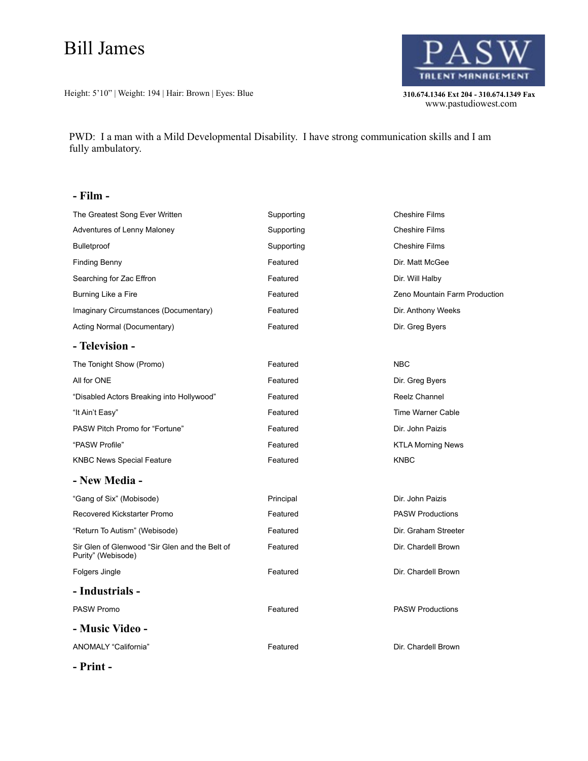## Bill James

Height: 5'10" | Weight: 194 | Hair: Brown | Eyes: Blue **310.674.1346 Ext 204 - 310.674.1349 Fax** 



310.674.1346 Ext 204 - 310.674.1349 Fax<br>www.pastudiowest.com

PWD: I a man with a Mild Developmental Disability. I have strong communication skills and I am fully ambulatory.

## **- Film -**

| The Greatest Song Ever Written                                       | Supporting | <b>Cheshire Films</b>         |
|----------------------------------------------------------------------|------------|-------------------------------|
| Adventures of Lenny Maloney                                          | Supporting | <b>Cheshire Films</b>         |
| Bulletproof                                                          | Supporting | <b>Cheshire Films</b>         |
| <b>Finding Benny</b>                                                 | Featured   | Dir. Matt McGee               |
| Searching for Zac Effron                                             | Featured   | Dir. Will Halby               |
| Burning Like a Fire                                                  | Featured   | Zeno Mountain Farm Production |
| Imaginary Circumstances (Documentary)                                | Featured   | Dir. Anthony Weeks            |
| Acting Normal (Documentary)                                          | Featured   | Dir. Greg Byers               |
| - Television -                                                       |            |                               |
| The Tonight Show (Promo)                                             | Featured   | <b>NBC</b>                    |
| All for ONE                                                          | Featured   | Dir. Greg Byers               |
| "Disabled Actors Breaking into Hollywood"                            | Featured   | Reelz Channel                 |
| "It Ain't Easy"                                                      | Featured   | Time Warner Cable             |
| PASW Pitch Promo for "Fortune"                                       | Featured   | Dir. John Paizis              |
| "PASW Profile"                                                       | Featured   | <b>KTLA Morning News</b>      |
| <b>KNBC News Special Feature</b>                                     | Featured   | <b>KNBC</b>                   |
| - New Media -                                                        |            |                               |
| "Gang of Six" (Mobisode)                                             | Principal  | Dir. John Paizis              |
| Recovered Kickstarter Promo                                          | Featured   | <b>PASW Productions</b>       |
| "Return To Autism" (Webisode)                                        | Featured   | Dir. Graham Streeter          |
| Sir Glen of Glenwood "Sir Glen and the Belt of<br>Purity" (Webisode) | Featured   | Dir. Chardell Brown           |
| Folgers Jingle                                                       | Featured   | Dir. Chardell Brown           |
| - Industrials -                                                      |            |                               |
| PASW Promo                                                           | Featured   | <b>PASW Productions</b>       |
| - Music Video -                                                      |            |                               |
| ANOMALY "California"                                                 | Featured   | Dir. Chardell Brown           |

**- Print -**